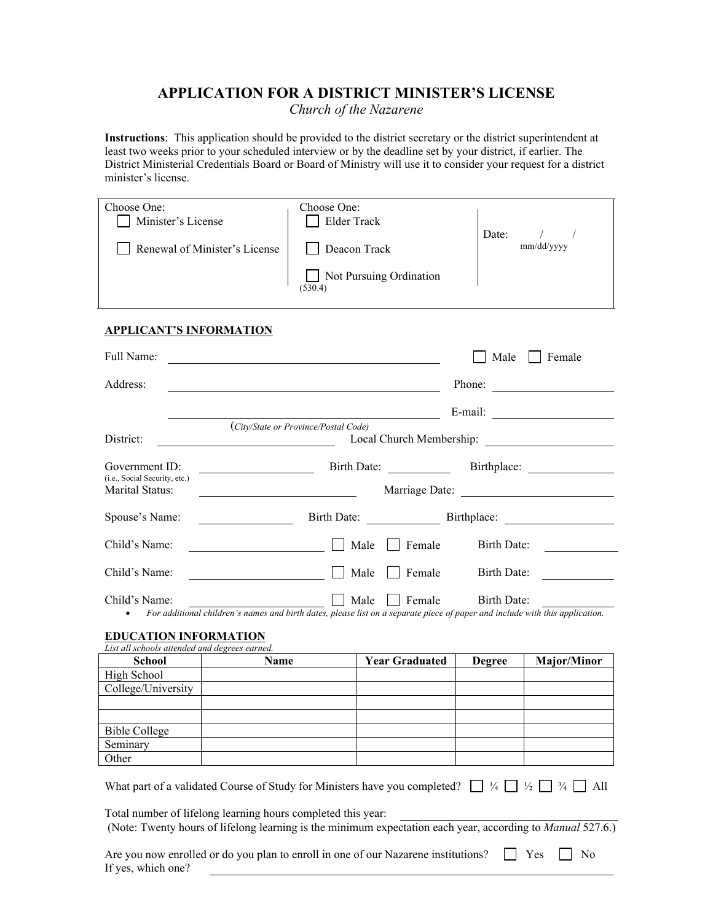# **APPLICATION FOR A DISTRICT MINISTER'S LICENSE**

*Church of the Nazarene*

**Instructions**: This application should be provided to the district secretary or the district superintendent at least two weeks prior to your scheduled interview or by the deadline set by your district, if earlier. The District Ministerial Credentials Board or Board of Ministry will use it to consider your request for a district minister's license.

| Elder Track<br>Minister's License                           |  |
|-------------------------------------------------------------|--|
|                                                             |  |
| Date:                                                       |  |
| mm/dd/yyyy<br>Renewal of Minister's License<br>Deacon Track |  |
|                                                             |  |
| Not Pursuing Ordination                                     |  |
| (530.4)                                                     |  |

### **APPLICANT'S INFORMATION**

| Full Name:                                                                                                                                                                                                                                                                                                                                                                                                    |                                                                                                                                      |                       | Male          | Female                       |  |
|---------------------------------------------------------------------------------------------------------------------------------------------------------------------------------------------------------------------------------------------------------------------------------------------------------------------------------------------------------------------------------------------------------------|--------------------------------------------------------------------------------------------------------------------------------------|-----------------------|---------------|------------------------------|--|
| Address:                                                                                                                                                                                                                                                                                                                                                                                                      | Phone:                                                                                                                               |                       |               |                              |  |
|                                                                                                                                                                                                                                                                                                                                                                                                               |                                                                                                                                      |                       |               | E-mail: $\qquad \qquad$      |  |
|                                                                                                                                                                                                                                                                                                                                                                                                               | (City/State or Province/Postal Code)                                                                                                 |                       |               |                              |  |
| District:                                                                                                                                                                                                                                                                                                                                                                                                     |                                                                                                                                      |                       |               |                              |  |
| Government ID:                                                                                                                                                                                                                                                                                                                                                                                                |                                                                                                                                      |                       |               | Birth Date: Birthplace:      |  |
| (i.e., Social Security, etc.)<br>Marital Status:                                                                                                                                                                                                                                                                                                                                                              | <u> 1980 - Johann Barbara, martin d</u>                                                                                              |                       |               |                              |  |
| Spouse's Name:<br><u> 1990 - Jan Barat, politik e</u> ta eta eskualdean                                                                                                                                                                                                                                                                                                                                       |                                                                                                                                      |                       |               | Birth Date: Birthplace:      |  |
| Child's Name:                                                                                                                                                                                                                                                                                                                                                                                                 | Male<br><u> 1980 - Johann Barbara, martxa</u>                                                                                        | $\top$ Female         | Birth Date:   |                              |  |
| Child's Name:                                                                                                                                                                                                                                                                                                                                                                                                 | Male                                                                                                                                 | Female                | Birth Date:   |                              |  |
| Child's Name:<br>٠                                                                                                                                                                                                                                                                                                                                                                                            | Male<br>For additional children's names and birth dates, please list on a separate piece of paper and include with this application. | Female                | Birth Date:   |                              |  |
|                                                                                                                                                                                                                                                                                                                                                                                                               |                                                                                                                                      |                       |               |                              |  |
| <b>EDUCATION INFORMATION</b><br>List all schools attended and degrees earned.                                                                                                                                                                                                                                                                                                                                 |                                                                                                                                      |                       |               |                              |  |
| <b>School</b>                                                                                                                                                                                                                                                                                                                                                                                                 | Name                                                                                                                                 | <b>Year Graduated</b> | <b>Degree</b> | <b>Major/Minor</b>           |  |
| High School                                                                                                                                                                                                                                                                                                                                                                                                   |                                                                                                                                      |                       |               |                              |  |
| College/University                                                                                                                                                                                                                                                                                                                                                                                            |                                                                                                                                      |                       |               |                              |  |
|                                                                                                                                                                                                                                                                                                                                                                                                               |                                                                                                                                      |                       |               |                              |  |
|                                                                                                                                                                                                                                                                                                                                                                                                               |                                                                                                                                      |                       |               |                              |  |
| <b>Bible College</b>                                                                                                                                                                                                                                                                                                                                                                                          |                                                                                                                                      |                       |               |                              |  |
| Seminary<br>Other                                                                                                                                                                                                                                                                                                                                                                                             |                                                                                                                                      |                       |               |                              |  |
| What part of a validated Course of Study for Ministers have you completed? $\Box$ $\frac{1}{4}$ $\Box$ $\frac{1}{2}$ $\Box$ $\frac{3}{4}$<br>Total number of lifelong learning hours completed this year:<br>(Note: Twenty hours of lifelong learning is the minimum expectation each year, according to Manual 527.6.)<br>Are you now enrolled or do you plan to enroll in one of our Nazarene institutions? |                                                                                                                                      |                       | $\mathsf{I}$  | All<br>Yes<br>N <sub>0</sub> |  |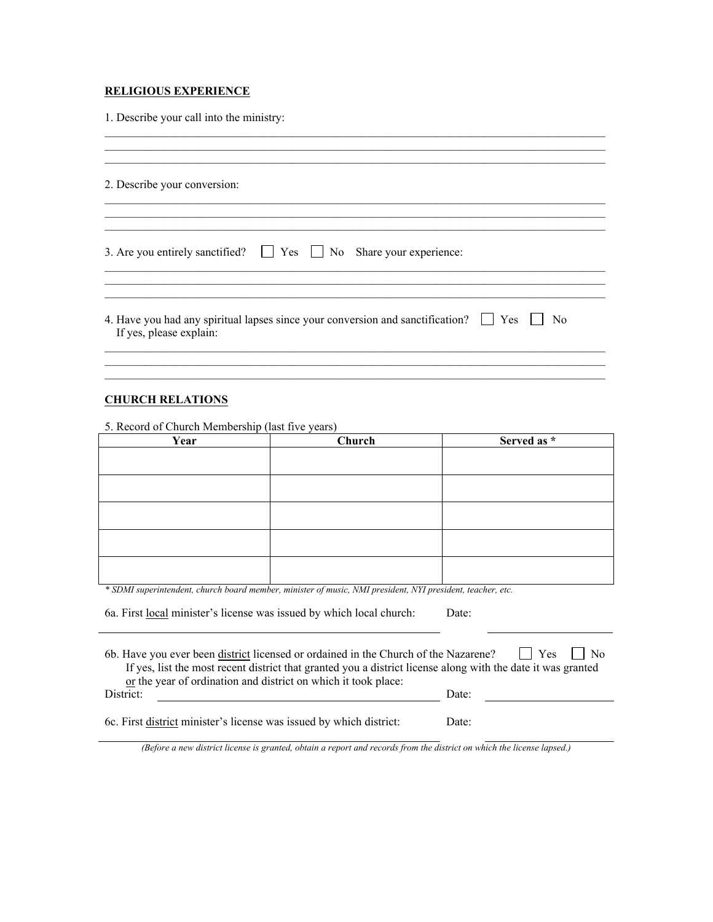## **RELIGIOUS EXPERIENCE**

1. Describe your call into the ministry:

| 2. Describe your conversion:                                                                                                                  |
|-----------------------------------------------------------------------------------------------------------------------------------------------|
| 3. Are you entirely sanctified? $\Box$ Yes $\Box$ No Share your experience:                                                                   |
| 4. Have you had any spiritual lapses since your conversion and sanctification? $\Box$ Yes $\Box$<br>N <sub>0</sub><br>If yes, please explain: |
|                                                                                                                                               |

 $\mathcal{L}_\mathcal{L} = \mathcal{L}_\mathcal{L} = \mathcal{L}_\mathcal{L} = \mathcal{L}_\mathcal{L} = \mathcal{L}_\mathcal{L} = \mathcal{L}_\mathcal{L} = \mathcal{L}_\mathcal{L} = \mathcal{L}_\mathcal{L} = \mathcal{L}_\mathcal{L} = \mathcal{L}_\mathcal{L} = \mathcal{L}_\mathcal{L} = \mathcal{L}_\mathcal{L} = \mathcal{L}_\mathcal{L} = \mathcal{L}_\mathcal{L} = \mathcal{L}_\mathcal{L} = \mathcal{L}_\mathcal{L} = \mathcal{L}_\mathcal{L}$ 

#### **CHURCH RELATIONS**

5. Record of Church Membership (last five years)

| Year | Church                                                                                                     | Served as * |  |
|------|------------------------------------------------------------------------------------------------------------|-------------|--|
|      |                                                                                                            |             |  |
|      |                                                                                                            |             |  |
|      |                                                                                                            |             |  |
|      |                                                                                                            |             |  |
|      |                                                                                                            |             |  |
|      |                                                                                                            |             |  |
|      |                                                                                                            |             |  |
|      |                                                                                                            |             |  |
|      |                                                                                                            |             |  |
|      |                                                                                                            |             |  |
|      | * SDMI superintendent, church board member, minister of music, NMI president, NYI president, teacher, etc. |             |  |

| 6a. First local minister's license was issued by which local church: | Date: |  |
|----------------------------------------------------------------------|-------|--|
|                                                                      |       |  |

6b. Have you ever been district licensed or ordained in the Church of the Nazarene?  $\Box$  Yes  $\Box$  No If yes, list the most recent district that granted you a district license along with the date it was granted or the year of ordination and district on which it took place: District: Detector of the contract of the contract of the contract of the contract of the contract of the contract of the contract of the contract of the contract of the contract of the contract of the contract of the cont

6c. First <u>district</u> minister's license was issued by which district: Date:

*(Before a new district license is granted, obtain a report and records from the district on which the license lapsed.)*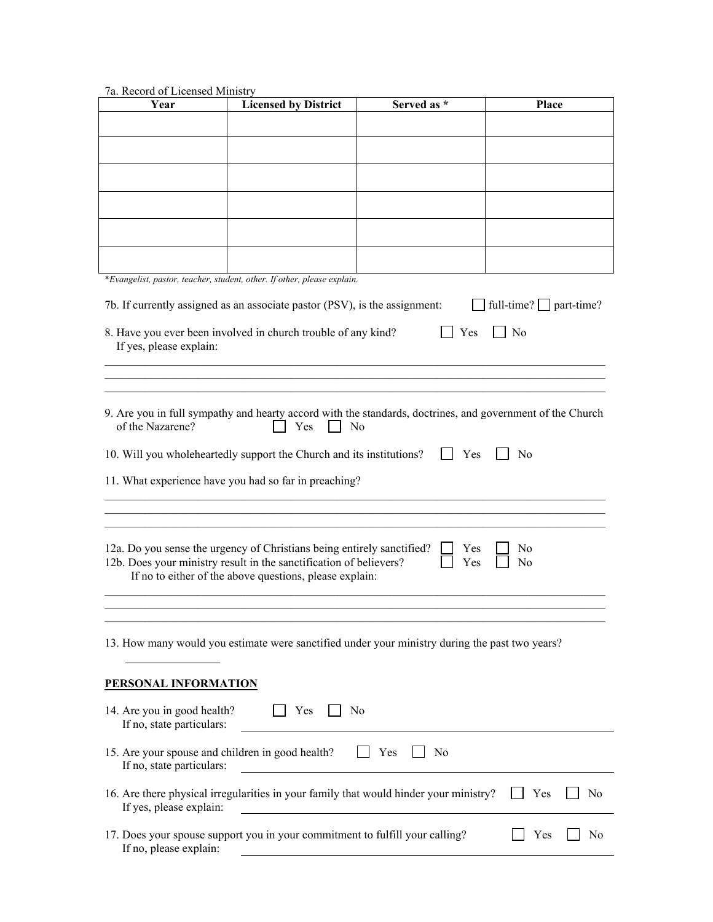# 7a. Record of Licensed Ministry

| Year                                                                          | <b>Licensed by District</b>                                                                                                                  | Served as *                                                                                                                 | Place                        |
|-------------------------------------------------------------------------------|----------------------------------------------------------------------------------------------------------------------------------------------|-----------------------------------------------------------------------------------------------------------------------------|------------------------------|
|                                                                               |                                                                                                                                              |                                                                                                                             |                              |
|                                                                               |                                                                                                                                              |                                                                                                                             |                              |
|                                                                               |                                                                                                                                              |                                                                                                                             |                              |
|                                                                               |                                                                                                                                              |                                                                                                                             |                              |
|                                                                               |                                                                                                                                              |                                                                                                                             |                              |
|                                                                               |                                                                                                                                              |                                                                                                                             |                              |
|                                                                               |                                                                                                                                              |                                                                                                                             |                              |
|                                                                               |                                                                                                                                              |                                                                                                                             |                              |
|                                                                               | *Evangelist, pastor, teacher, student, other. If other, please explain.                                                                      |                                                                                                                             |                              |
|                                                                               | 7b. If currently assigned as an associate pastor (PSV), is the assignment:                                                                   |                                                                                                                             | full-time? $\Box$ part-time? |
|                                                                               | 8. Have you ever been involved in church trouble of any kind?                                                                                | Yes                                                                                                                         | No                           |
| If yes, please explain:                                                       |                                                                                                                                              |                                                                                                                             |                              |
|                                                                               |                                                                                                                                              |                                                                                                                             |                              |
|                                                                               |                                                                                                                                              |                                                                                                                             |                              |
| of the Nazarene?                                                              | Yes                                                                                                                                          | 9. Are you in full sympathy and hearty accord with the standards, doctrines, and government of the Church<br>N <sub>o</sub> |                              |
|                                                                               | 10. Will you wholeheartedly support the Church and its institutions?                                                                         | $\Box$ Yes                                                                                                                  | N <sub>0</sub>               |
|                                                                               |                                                                                                                                              |                                                                                                                             |                              |
|                                                                               | 11. What experience have you had so far in preaching?                                                                                        |                                                                                                                             |                              |
|                                                                               |                                                                                                                                              |                                                                                                                             |                              |
|                                                                               |                                                                                                                                              |                                                                                                                             |                              |
|                                                                               | 12a. Do you sense the urgency of Christians being entirely sanctified?<br>12b. Does your ministry result in the sanctification of believers? | Yes<br>Yes                                                                                                                  | No<br>No                     |
|                                                                               | If no to either of the above questions, please explain:                                                                                      |                                                                                                                             |                              |
|                                                                               |                                                                                                                                              |                                                                                                                             |                              |
|                                                                               |                                                                                                                                              |                                                                                                                             |                              |
|                                                                               |                                                                                                                                              | 13. How many would you estimate were sanctified under your ministry during the past two years?                              |                              |
| PERSONAL INFORMATION                                                          |                                                                                                                                              |                                                                                                                             |                              |
| 14. Are you in good health?<br>If no, state particulars:                      | Yes                                                                                                                                          | No<br>the control of the control of the control of the control of the control of the control of                             |                              |
| 15. Are your spouse and children in good health?<br>If no, state particulars: |                                                                                                                                              | Yes<br>N <sub>0</sub>                                                                                                       |                              |
| If yes, please explain:                                                       |                                                                                                                                              | 16. Are there physical irregularities in your family that would hinder your ministry?                                       | Yes<br>N <sub>0</sub>        |
| If no, please explain:                                                        | 17. Does your spouse support you in your commitment to fulfill your calling?                                                                 |                                                                                                                             | No<br>Yes                    |